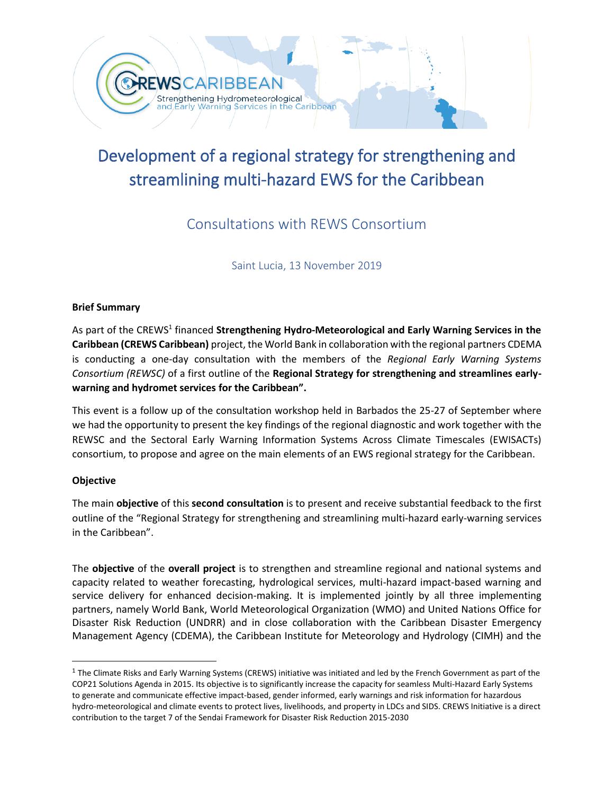

# Development of a regional strategy for strengthening and streamlining multi-hazard EWS for the Caribbean

## Consultations with REWS Consortium

Saint Lucia, 13 November 2019

### **Brief Summary**

As part of the CREWS<sup>1</sup> financed **Strengthening Hydro-Meteorological and Early Warning Services in the Caribbean (CREWS Caribbean)** project, the World Bank in collaboration with the regional partners CDEMA is conducting a one-day consultation with the members of the *Regional Early Warning Systems Consortium (REWSC)* of a first outline of the **Regional Strategy for strengthening and streamlines earlywarning and hydromet services for the Caribbean".**

This event is a follow up of the consultation workshop held in Barbados the 25-27 of September where we had the opportunity to present the key findings of the regional diagnostic and work together with the REWSC and the Sectoral Early Warning Information Systems Across Climate Timescales (EWISACTs) consortium, to propose and agree on the main elements of an EWS regional strategy for the Caribbean.

### **Objective**

The main **objective** of this **second consultation** is to present and receive substantial feedback to the first outline of the "Regional Strategy for strengthening and streamlining multi-hazard early-warning services in the Caribbean".

The **objective** of the **overall project** is to strengthen and streamline regional and national systems and capacity related to weather forecasting, hydrological services, multi-hazard impact-based warning and service delivery for enhanced decision-making. It is implemented jointly by all three implementing partners, namely World Bank, World Meteorological Organization (WMO) and United Nations Office for Disaster Risk Reduction (UNDRR) and in close collaboration with the Caribbean Disaster Emergency Management Agency (CDEMA), the Caribbean Institute for Meteorology and Hydrology (CIMH) and the

 $^1$  The Climate Risks and Early Warning Systems (CREWS) initiative was initiated and led by the French Government as part of the COP21 Solutions Agenda in 2015. Its objective is to significantly increase the capacity for seamless Multi-Hazard Early Systems to generate and communicate effective impact-based, gender informed, early warnings and risk information for hazardous hydro-meteorological and climate events to protect lives, livelihoods, and property in LDCs and SIDS. CREWS Initiative is a direct contribution to the target 7 of the Sendai Framework for Disaster Risk Reduction 2015-2030